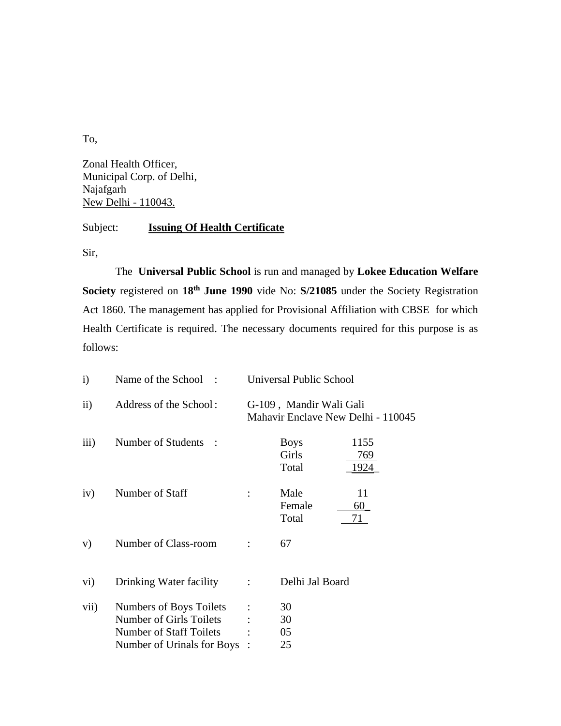To,

Zonal Health Officer, Municipal Corp. of Delhi, Najafgarh New Delhi - 110043.

Subject: **Issuing Of Health Certificate**

Sir,

The **Universal Public School** is run and managed by **Lokee Education Welfare Society** registered on **18th June 1990** vide No: **S/21085** under the Society Registration Act 1860. The management has applied for Provisional Affiliation with CBSE for which Health Certificate is required. The necessary documents required for this purpose is as follows:

| $\mathbf{i}$  | Name of the School<br>$\mathcal{L}$                                                  | Universal Public School                                       |                                                      |  |
|---------------|--------------------------------------------------------------------------------------|---------------------------------------------------------------|------------------------------------------------------|--|
| $\mathbf{ii}$ | Address of the School:                                                               | G-109, Mandir Wali Gali<br>Mahavir Enclave New Delhi - 110045 |                                                      |  |
| iii)          | Number of Students                                                                   |                                                               | 1155<br><b>Boys</b><br>Girls<br>769<br>1924<br>Total |  |
| iv)           | Number of Staff                                                                      |                                                               | Male<br>11<br>Female<br>60<br>Total<br>71            |  |
| V)            | Number of Class-room                                                                 |                                                               | 67                                                   |  |
| $\rm vi)$     | Drinking Water facility                                                              | $\ddot{\cdot}$                                                | Delhi Jal Board                                      |  |
| vii)          | Numbers of Boys Toilets<br>Number of Girls Toilets<br><b>Number of Staff Toilets</b> |                                                               | 30<br>30<br>05                                       |  |
|               | Number of Urinals for Boys                                                           |                                                               | 25                                                   |  |